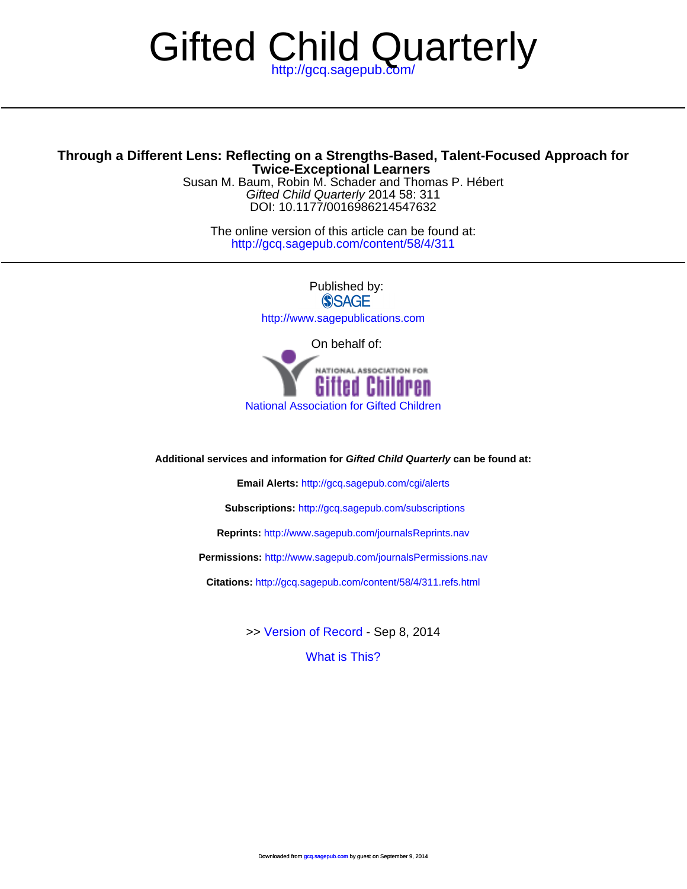# Gifted Child Quarterly

## **Twice-Exceptional Learners Through a Different Lens: Reflecting on a Strengths-Based, Talent-Focused Approach for**

DOI: 10.1177/0016986214547632 Gifted Child Quarterly 2014 58: 311 Susan M. Baum, Robin M. Schader and Thomas P. Hébert

<http://gcq.sagepub.com/content/58/4/311> The online version of this article can be found at:



**Additional services and information for Gifted Child Quarterly can be found at:**

**Email Alerts:** <http://gcq.sagepub.com/cgi/alerts>

**Subscriptions:** <http://gcq.sagepub.com/subscriptions>

**Reprints:** <http://www.sagepub.com/journalsReprints.nav>

**Permissions:** <http://www.sagepub.com/journalsPermissions.nav>

**Citations:** <http://gcq.sagepub.com/content/58/4/311.refs.html>

[What is This?](http://online.sagepub.com/site/sphelp/vorhelp.xhtml) >> [Version of Record -](http://gcq.sagepub.com/content/58/4/311.full.pdf) Sep 8, 2014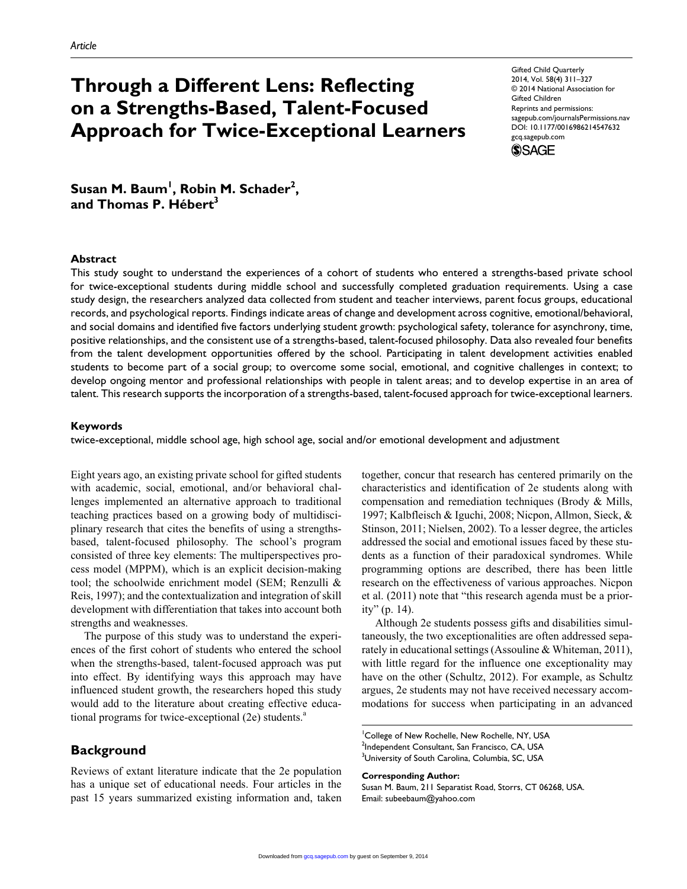## **Through a Different Lens: Reflecting on a Strengths-Based, Talent-Focused Approach for Twice-Exceptional Learners**

Gifted Child Quarterly 2014, Vol. 58(4) 311–327 © 2014 National Association for Gifted Children Reprints and permissions: sagepub.com/journalsPermissions.nav DOI: 10.1177/0016986214547632 gcq.sagepub.com

**SSAGE** 

 $\mathsf{S}$ usan M. Baum<sup>1</sup>, Robin M. Schader<sup>2</sup>, and Thomas P. Hébert<sup>3</sup>

#### **Abstract**

This study sought to understand the experiences of a cohort of students who entered a strengths-based private school for twice-exceptional students during middle school and successfully completed graduation requirements. Using a case study design, the researchers analyzed data collected from student and teacher interviews, parent focus groups, educational records, and psychological reports. Findings indicate areas of change and development across cognitive, emotional/behavioral, and social domains and identified five factors underlying student growth: psychological safety, tolerance for asynchrony, time, positive relationships, and the consistent use of a strengths-based, talent-focused philosophy. Data also revealed four benefits from the talent development opportunities offered by the school. Participating in talent development activities enabled students to become part of a social group; to overcome some social, emotional, and cognitive challenges in context; to develop ongoing mentor and professional relationships with people in talent areas; and to develop expertise in an area of talent. This research supports the incorporation of a strengths-based, talent-focused approach for twice-exceptional learners.

#### **Keywords**

twice-exceptional, middle school age, high school age, social and/or emotional development and adjustment

Eight years ago, an existing private school for gifted students with academic, social, emotional, and/or behavioral challenges implemented an alternative approach to traditional teaching practices based on a growing body of multidisciplinary research that cites the benefits of using a strengthsbased, talent-focused philosophy. The school's program consisted of three key elements: The multiperspectives process model (MPPM), which is an explicit decision-making tool; the schoolwide enrichment model (SEM; Renzulli & Reis, 1997); and the contextualization and integration of skill development with differentiation that takes into account both strengths and weaknesses.

The purpose of this study was to understand the experiences of the first cohort of students who entered the school when the strengths-based, talent-focused approach was put into effect. By identifying ways this approach may have influenced student growth, the researchers hoped this study would add to the literature about creating effective educational programs for twice-exceptional  $(2e)$  students.<sup>a</sup>

## **Background**

Reviews of extant literature indicate that the 2e population has a unique set of educational needs. Four articles in the past 15 years summarized existing information and, taken together, concur that research has centered primarily on the characteristics and identification of 2e students along with compensation and remediation techniques (Brody & Mills, 1997; Kalbfleisch & Iguchi, 2008; Nicpon, Allmon, Sieck, & Stinson, 2011; Nielsen, 2002). To a lesser degree, the articles addressed the social and emotional issues faced by these students as a function of their paradoxical syndromes. While programming options are described, there has been little research on the effectiveness of various approaches. Nicpon et al. (2011) note that "this research agenda must be a priority" (p. 14).

Although 2e students possess gifts and disabilities simultaneously, the two exceptionalities are often addressed separately in educational settings (Assouline & Whiteman, 2011), with little regard for the influence one exceptionality may have on the other (Schultz, 2012). For example, as Schultz argues, 2e students may not have received necessary accommodations for success when participating in an advanced

<sup>3</sup>University of South Carolina, Columbia, SC, USA

#### **Corresponding Author:**

<sup>&</sup>lt;sup>1</sup>College of New Rochelle, New Rochelle, NY, USA <sup>2</sup>Independent Consultant, San Francisco, CA, USA

Susan M. Baum, 211 Separatist Road, Storrs, CT 06268, USA. Email: [subeebaum@yahoo.com](mailto:subeebaum@yahoo.com)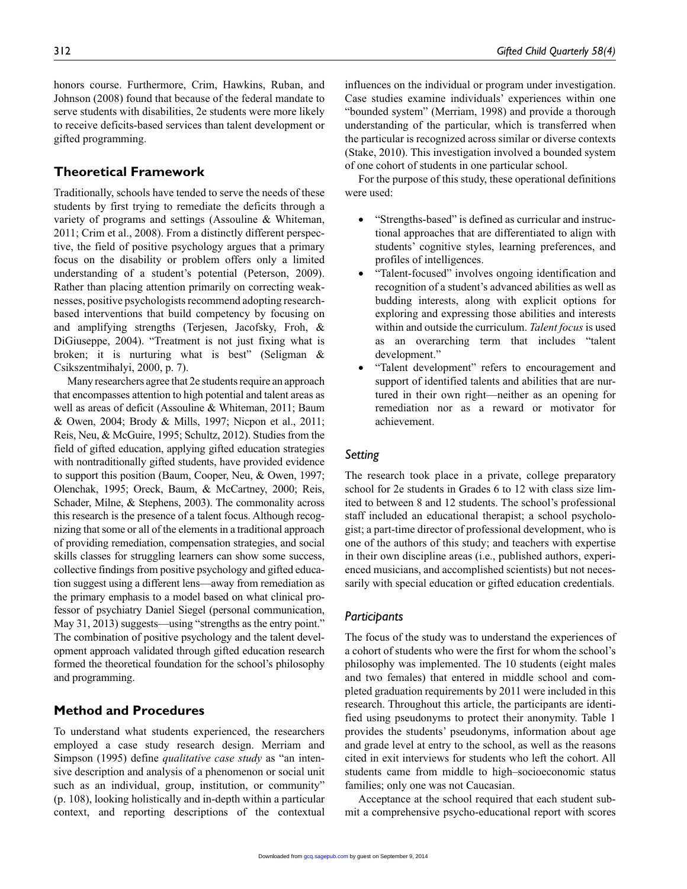honors course. Furthermore, Crim, Hawkins, Ruban, and Johnson (2008) found that because of the federal mandate to serve students with disabilities, 2e students were more likely to receive deficits-based services than talent development or gifted programming.

## **Theoretical Framework**

Traditionally, schools have tended to serve the needs of these students by first trying to remediate the deficits through a variety of programs and settings (Assouline & Whiteman, 2011; Crim et al., 2008). From a distinctly different perspective, the field of positive psychology argues that a primary focus on the disability or problem offers only a limited understanding of a student's potential (Peterson, 2009). Rather than placing attention primarily on correcting weaknesses, positive psychologists recommend adopting researchbased interventions that build competency by focusing on and amplifying strengths (Terjesen, Jacofsky, Froh, & DiGiuseppe, 2004). "Treatment is not just fixing what is broken; it is nurturing what is best" (Seligman & Csikszentmihalyi, 2000, p. 7).

Many researchers agree that 2e students require an approach that encompasses attention to high potential and talent areas as well as areas of deficit (Assouline & Whiteman, 2011; Baum & Owen, 2004; Brody & Mills, 1997; Nicpon et al., 2011; Reis, Neu, & McGuire, 1995; Schultz, 2012). Studies from the field of gifted education, applying gifted education strategies with nontraditionally gifted students, have provided evidence to support this position (Baum, Cooper, Neu, & Owen, 1997; Olenchak, 1995; Oreck, Baum, & McCartney, 2000; Reis, Schader, Milne, & Stephens, 2003). The commonality across this research is the presence of a talent focus. Although recognizing that some or all of the elements in a traditional approach of providing remediation, compensation strategies, and social skills classes for struggling learners can show some success, collective findings from positive psychology and gifted education suggest using a different lens—away from remediation as the primary emphasis to a model based on what clinical professor of psychiatry Daniel Siegel (personal communication, May 31, 2013) suggests—using "strengths as the entry point." The combination of positive psychology and the talent development approach validated through gifted education research formed the theoretical foundation for the school's philosophy and programming.

## **Method and Procedures**

To understand what students experienced, the researchers employed a case study research design. Merriam and Simpson (1995) define *qualitative case study* as "an intensive description and analysis of a phenomenon or social unit such as an individual, group, institution, or community" (p. 108), looking holistically and in-depth within a particular context, and reporting descriptions of the contextual

influences on the individual or program under investigation. Case studies examine individuals' experiences within one "bounded system" (Merriam, 1998) and provide a thorough understanding of the particular, which is transferred when the particular is recognized across similar or diverse contexts (Stake, 2010). This investigation involved a bounded system of one cohort of students in one particular school.

For the purpose of this study, these operational definitions were used:

- •• "Strengths-based" is defined as curricular and instructional approaches that are differentiated to align with students' cognitive styles, learning preferences, and profiles of intelligences.
- "Talent-focused" involves ongoing identification and recognition of a student's advanced abilities as well as budding interests, along with explicit options for exploring and expressing those abilities and interests within and outside the curriculum. *Talent focus* is used as an overarching term that includes "talent development."
- •• "Talent development" refers to encouragement and support of identified talents and abilities that are nurtured in their own right—neither as an opening for remediation nor as a reward or motivator for achievement.

#### *Setting*

The research took place in a private, college preparatory school for 2e students in Grades 6 to 12 with class size limited to between 8 and 12 students. The school's professional staff included an educational therapist; a school psychologist; a part-time director of professional development, who is one of the authors of this study; and teachers with expertise in their own discipline areas (i.e., published authors, experienced musicians, and accomplished scientists) but not necessarily with special education or gifted education credentials.

#### *Participants*

The focus of the study was to understand the experiences of a cohort of students who were the first for whom the school's philosophy was implemented. The 10 students (eight males and two females) that entered in middle school and completed graduation requirements by 2011 were included in this research. Throughout this article, the participants are identified using pseudonyms to protect their anonymity. Table 1 provides the students' pseudonyms, information about age and grade level at entry to the school, as well as the reasons cited in exit interviews for students who left the cohort. All students came from middle to high–socioeconomic status families; only one was not Caucasian.

Acceptance at the school required that each student submit a comprehensive psycho-educational report with scores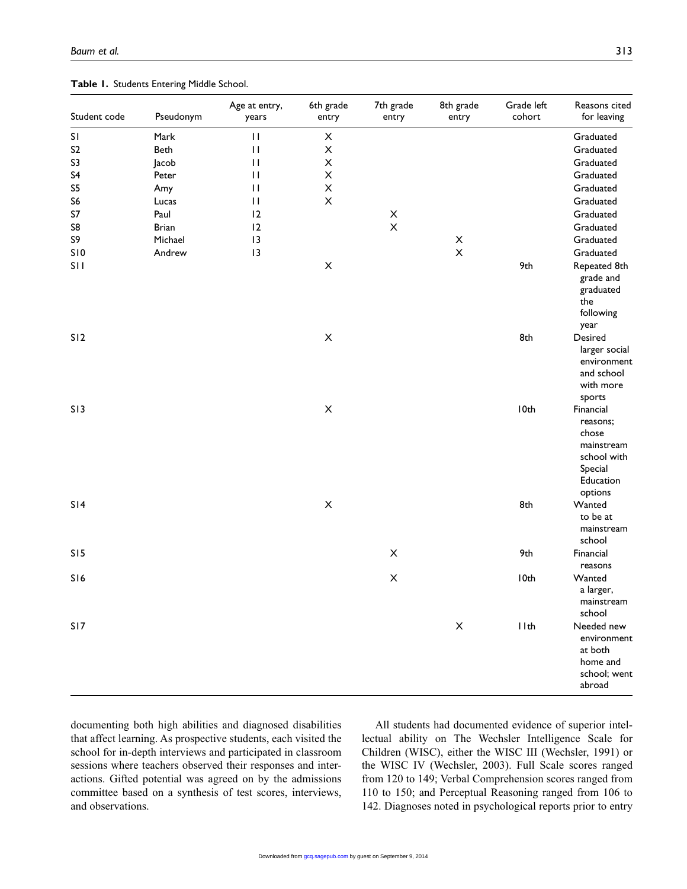#### **Table 1.** Students Entering Middle School.

| Student code   | Pseudonym    | Age at entry,<br>years | 6th grade<br>entry        | 7th grade<br>entry        | 8th grade<br>entry        | Grade left<br>cohort | Reasons cited<br>for leaving                                                                   |
|----------------|--------------|------------------------|---------------------------|---------------------------|---------------------------|----------------------|------------------------------------------------------------------------------------------------|
| S <sub>1</sub> | Mark         | П                      | X                         |                           |                           |                      | Graduated                                                                                      |
| S <sub>2</sub> | Beth         | $\mathbf{H}$           | $\boldsymbol{\times}$     |                           |                           |                      | Graduated                                                                                      |
| S <sub>3</sub> | Jacob        | $\mathbf{H}$           | $\boldsymbol{\mathsf{X}}$ |                           |                           |                      | Graduated                                                                                      |
| S <sub>4</sub> | Peter        | $\mathbf{H}$           | $\boldsymbol{\mathsf{X}}$ |                           |                           |                      | Graduated                                                                                      |
| S <sub>5</sub> | Amy          | $\mathbf{H}$           | $\boldsymbol{\mathsf{X}}$ |                           |                           |                      | Graduated                                                                                      |
| S6             | Lucas        | $\mathbf{H}$           | $\boldsymbol{\mathsf{X}}$ |                           |                           |                      | Graduated                                                                                      |
| S7             | Paul         | 12                     |                           | $\boldsymbol{\mathsf{X}}$ |                           |                      | Graduated                                                                                      |
| S8             | <b>Brian</b> | 12                     |                           | $\pmb{\times}$            |                           |                      | Graduated                                                                                      |
| S9             | Michael      | 13                     |                           |                           | $\boldsymbol{\mathsf{X}}$ |                      | Graduated                                                                                      |
| <b>SI0</b>     | Andrew       | 13                     |                           |                           | $\pmb{\times}$            |                      | Graduated                                                                                      |
|                |              |                        |                           |                           |                           |                      |                                                                                                |
| <b>SII</b>     |              |                        | $\boldsymbol{\times}$     |                           |                           | 9th                  | Repeated 8th<br>grade and<br>graduated<br>the<br>following<br>year                             |
| S12            |              |                        | $\boldsymbol{\mathsf{X}}$ |                           |                           | 8th                  | Desired<br>larger social<br>environment<br>and school<br>with more<br>sports                   |
| S13            |              |                        | $\boldsymbol{\mathsf{X}}$ |                           |                           | I Oth                | Financial<br>reasons;<br>chose<br>mainstream<br>school with<br>Special<br>Education<br>options |
| S14            |              |                        | $\pmb{\times}$            |                           |                           | 8th                  | Wanted<br>to be at<br>mainstream<br>school                                                     |
| S15            |              |                        |                           | $\boldsymbol{\mathsf{X}}$ |                           | 9th                  | Financial<br>reasons                                                                           |
| <b>SI6</b>     |              |                        |                           | $\boldsymbol{\mathsf{X}}$ |                           | I Oth                | Wanted<br>a larger,<br>mainstream<br>school                                                    |
| S17            |              |                        |                           |                           | $\boldsymbol{\mathsf{X}}$ | 11th                 | Needed new<br>environment<br>at both<br>home and<br>school; went<br>abroad                     |

documenting both high abilities and diagnosed disabilities that affect learning. As prospective students, each visited the school for in-depth interviews and participated in classroom sessions where teachers observed their responses and interactions. Gifted potential was agreed on by the admissions committee based on a synthesis of test scores, interviews, and observations.

All students had documented evidence of superior intellectual ability on The Wechsler Intelligence Scale for Children (WISC), either the WISC III (Wechsler, 1991) or the WISC IV (Wechsler, 2003). Full Scale scores ranged from 120 to 149; Verbal Comprehension scores ranged from 110 to 150; and Perceptual Reasoning ranged from 106 to 142. Diagnoses noted in psychological reports prior to entry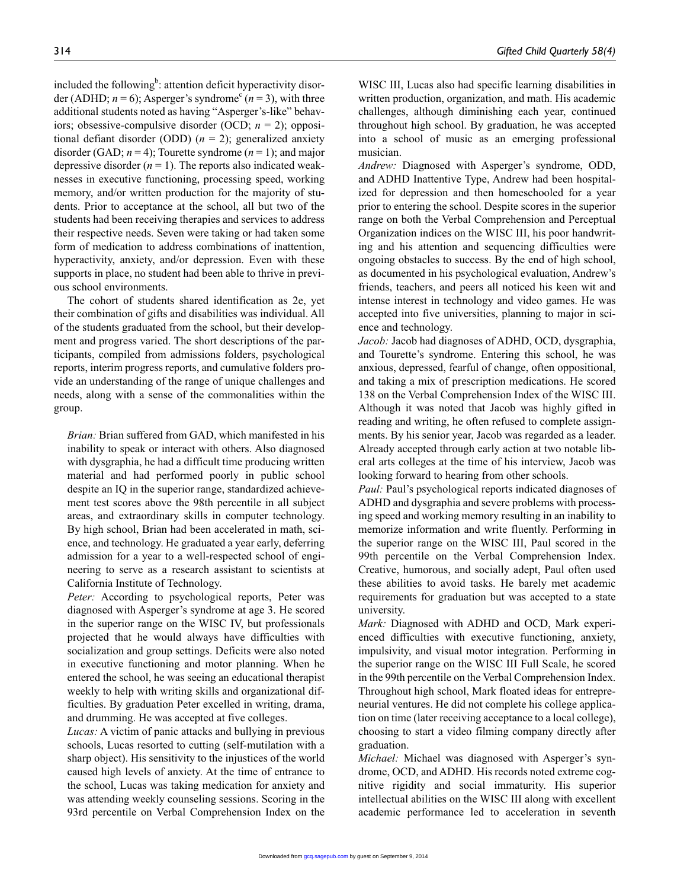included the following<sup>b</sup>: attention deficit hyperactivity disorder (ADHD;  $n = 6$ ); Asperger's syndrome<sup>c</sup> ( $n = 3$ ), with three additional students noted as having "Asperger's-like" behaviors; obsessive-compulsive disorder (OCD; *n* = 2); oppositional defiant disorder (ODD) (*n* = 2); generalized anxiety disorder (GAD;  $n = 4$ ); Tourette syndrome ( $n = 1$ ); and major depressive disorder  $(n = 1)$ . The reports also indicated weaknesses in executive functioning, processing speed, working memory, and/or written production for the majority of students. Prior to acceptance at the school, all but two of the students had been receiving therapies and services to address their respective needs. Seven were taking or had taken some form of medication to address combinations of inattention, hyperactivity, anxiety, and/or depression. Even with these supports in place, no student had been able to thrive in previous school environments.

The cohort of students shared identification as 2e, yet their combination of gifts and disabilities was individual. All of the students graduated from the school, but their development and progress varied. The short descriptions of the participants, compiled from admissions folders, psychological reports, interim progress reports, and cumulative folders provide an understanding of the range of unique challenges and needs, along with a sense of the commonalities within the group.

*Brian:* Brian suffered from GAD, which manifested in his inability to speak or interact with others. Also diagnosed with dysgraphia, he had a difficult time producing written material and had performed poorly in public school despite an IQ in the superior range, standardized achievement test scores above the 98th percentile in all subject areas, and extraordinary skills in computer technology. By high school, Brian had been accelerated in math, science, and technology. He graduated a year early, deferring admission for a year to a well-respected school of engineering to serve as a research assistant to scientists at California Institute of Technology.

*Peter:* According to psychological reports, Peter was diagnosed with Asperger's syndrome at age 3. He scored in the superior range on the WISC IV, but professionals projected that he would always have difficulties with socialization and group settings. Deficits were also noted in executive functioning and motor planning. When he entered the school, he was seeing an educational therapist weekly to help with writing skills and organizational difficulties. By graduation Peter excelled in writing, drama, and drumming. He was accepted at five colleges.

*Lucas:* A victim of panic attacks and bullying in previous schools, Lucas resorted to cutting (self-mutilation with a sharp object). His sensitivity to the injustices of the world caused high levels of anxiety. At the time of entrance to the school, Lucas was taking medication for anxiety and was attending weekly counseling sessions. Scoring in the 93rd percentile on Verbal Comprehension Index on the *Andrew:* Diagnosed with Asperger's syndrome, ODD, and ADHD Inattentive Type, Andrew had been hospitalized for depression and then homeschooled for a year prior to entering the school. Despite scores in the superior range on both the Verbal Comprehension and Perceptual Organization indices on the WISC III, his poor handwriting and his attention and sequencing difficulties were ongoing obstacles to success. By the end of high school, as documented in his psychological evaluation, Andrew's friends, teachers, and peers all noticed his keen wit and intense interest in technology and video games. He was accepted into five universities, planning to major in science and technology.

*Jacob:* Jacob had diagnoses of ADHD, OCD, dysgraphia, and Tourette's syndrome. Entering this school, he was anxious, depressed, fearful of change, often oppositional, and taking a mix of prescription medications. He scored 138 on the Verbal Comprehension Index of the WISC III. Although it was noted that Jacob was highly gifted in reading and writing, he often refused to complete assignments. By his senior year, Jacob was regarded as a leader. Already accepted through early action at two notable liberal arts colleges at the time of his interview, Jacob was looking forward to hearing from other schools.

*Paul:* Paul's psychological reports indicated diagnoses of ADHD and dysgraphia and severe problems with processing speed and working memory resulting in an inability to memorize information and write fluently. Performing in the superior range on the WISC III, Paul scored in the 99th percentile on the Verbal Comprehension Index. Creative, humorous, and socially adept, Paul often used these abilities to avoid tasks. He barely met academic requirements for graduation but was accepted to a state university.

*Mark:* Diagnosed with ADHD and OCD, Mark experienced difficulties with executive functioning, anxiety, impulsivity, and visual motor integration. Performing in the superior range on the WISC III Full Scale, he scored in the 99th percentile on the Verbal Comprehension Index. Throughout high school, Mark floated ideas for entrepreneurial ventures. He did not complete his college application on time (later receiving acceptance to a local college), choosing to start a video filming company directly after graduation.

*Michael:* Michael was diagnosed with Asperger's syndrome, OCD, and ADHD. His records noted extreme cognitive rigidity and social immaturity. His superior intellectual abilities on the WISC III along with excellent academic performance led to acceleration in seventh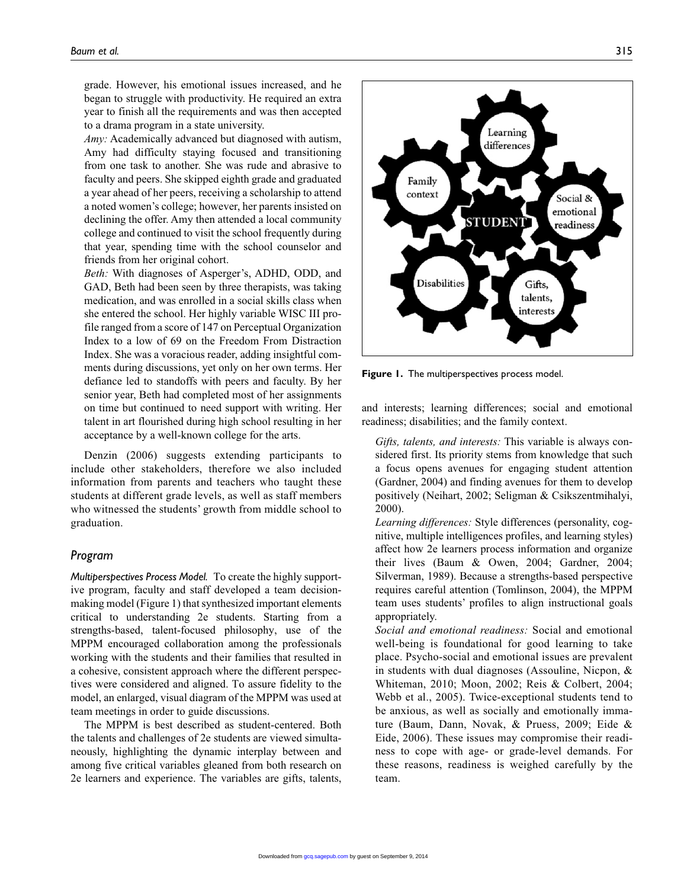grade. However, his emotional issues increased, and he began to struggle with productivity. He required an extra year to finish all the requirements and was then accepted to a drama program in a state university.

*Amy:* Academically advanced but diagnosed with autism, Amy had difficulty staying focused and transitioning from one task to another. She was rude and abrasive to faculty and peers. She skipped eighth grade and graduated a year ahead of her peers, receiving a scholarship to attend a noted women's college; however, her parents insisted on declining the offer. Amy then attended a local community college and continued to visit the school frequently during that year, spending time with the school counselor and friends from her original cohort.

*Beth:* With diagnoses of Asperger's, ADHD, ODD, and GAD, Beth had been seen by three therapists, was taking medication, and was enrolled in a social skills class when she entered the school. Her highly variable WISC III profile ranged from a score of 147 on Perceptual Organization Index to a low of 69 on the Freedom From Distraction Index. She was a voracious reader, adding insightful comments during discussions, yet only on her own terms. Her defiance led to standoffs with peers and faculty. By her senior year, Beth had completed most of her assignments on time but continued to need support with writing. Her talent in art flourished during high school resulting in her acceptance by a well-known college for the arts.

Denzin (2006) suggests extending participants to include other stakeholders, therefore we also included information from parents and teachers who taught these students at different grade levels, as well as staff members who witnessed the students' growth from middle school to graduation.

#### *Program*

*Multiperspectives Process Model.* To create the highly supportive program, faculty and staff developed a team decisionmaking model (Figure 1) that synthesized important elements critical to understanding 2e students. Starting from a strengths-based, talent-focused philosophy, use of the MPPM encouraged collaboration among the professionals working with the students and their families that resulted in a cohesive, consistent approach where the different perspectives were considered and aligned. To assure fidelity to the model, an enlarged, visual diagram of the MPPM was used at team meetings in order to guide discussions.

The MPPM is best described as student-centered. Both the talents and challenges of 2e students are viewed simultaneously, highlighting the dynamic interplay between and among five critical variables gleaned from both research on 2e learners and experience. The variables are gifts, talents,



**Figure 1.** The multiperspectives process model.

and interests; learning differences; social and emotional readiness; disabilities; and the family context.

*Gifts, talents, and interests:* This variable is always considered first. Its priority stems from knowledge that such a focus opens avenues for engaging student attention (Gardner, 2004) and finding avenues for them to develop positively (Neihart, 2002; Seligman & Csikszentmihalyi, 2000).

*Learning differences:* Style differences (personality, cognitive, multiple intelligences profiles, and learning styles) affect how 2e learners process information and organize their lives (Baum & Owen, 2004; Gardner, 2004; Silverman, 1989). Because a strengths-based perspective requires careful attention (Tomlinson, 2004), the MPPM team uses students' profiles to align instructional goals appropriately.

*Social and emotional readiness:* Social and emotional well-being is foundational for good learning to take place. Psycho-social and emotional issues are prevalent in students with dual diagnoses (Assouline, Nicpon, & Whiteman, 2010; Moon, 2002; Reis & Colbert, 2004; Webb et al., 2005). Twice-exceptional students tend to be anxious, as well as socially and emotionally immature (Baum, Dann, Novak, & Pruess, 2009; Eide & Eide, 2006). These issues may compromise their readiness to cope with age- or grade-level demands. For these reasons, readiness is weighed carefully by the team.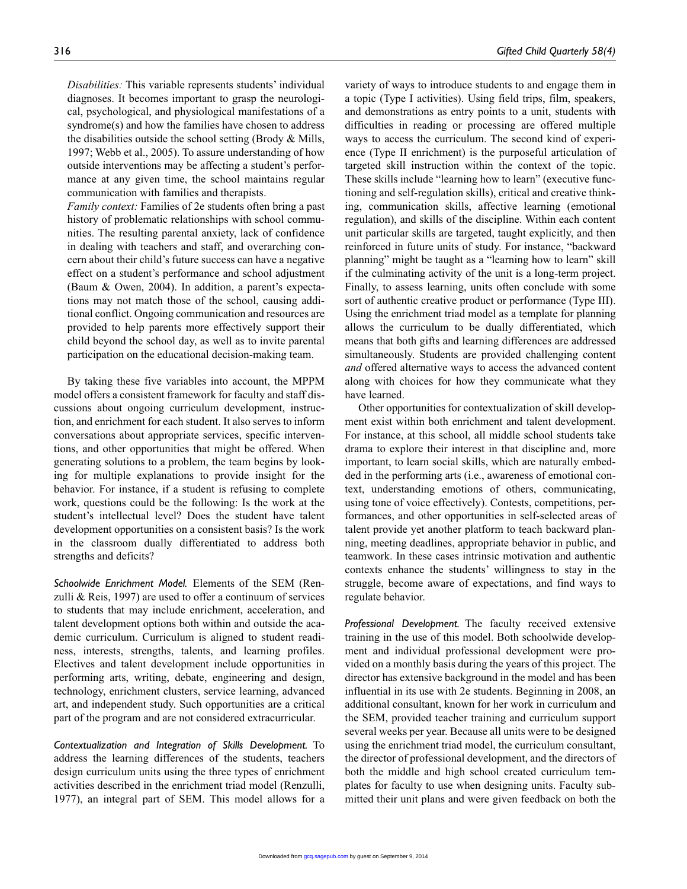*Disabilities:* This variable represents students' individual diagnoses. It becomes important to grasp the neurological, psychological, and physiological manifestations of a syndrome(s) and how the families have chosen to address the disabilities outside the school setting (Brody & Mills, 1997; Webb et al., 2005). To assure understanding of how outside interventions may be affecting a student's performance at any given time, the school maintains regular communication with families and therapists.

*Family context:* Families of 2e students often bring a past history of problematic relationships with school communities. The resulting parental anxiety, lack of confidence in dealing with teachers and staff, and overarching concern about their child's future success can have a negative effect on a student's performance and school adjustment (Baum & Owen, 2004). In addition, a parent's expectations may not match those of the school, causing additional conflict. Ongoing communication and resources are provided to help parents more effectively support their child beyond the school day, as well as to invite parental participation on the educational decision-making team.

By taking these five variables into account, the MPPM model offers a consistent framework for faculty and staff discussions about ongoing curriculum development, instruction, and enrichment for each student. It also serves to inform conversations about appropriate services, specific interventions, and other opportunities that might be offered. When generating solutions to a problem, the team begins by looking for multiple explanations to provide insight for the behavior. For instance, if a student is refusing to complete work, questions could be the following: Is the work at the student's intellectual level? Does the student have talent development opportunities on a consistent basis? Is the work in the classroom dually differentiated to address both strengths and deficits?

*Schoolwide Enrichment Model.* Elements of the SEM (Renzulli & Reis, 1997) are used to offer a continuum of services to students that may include enrichment, acceleration, and talent development options both within and outside the academic curriculum. Curriculum is aligned to student readiness, interests, strengths, talents, and learning profiles. Electives and talent development include opportunities in performing arts, writing, debate, engineering and design, technology, enrichment clusters, service learning, advanced art, and independent study. Such opportunities are a critical part of the program and are not considered extracurricular.

*Contextualization and Integration of Skills Development.* To address the learning differences of the students, teachers design curriculum units using the three types of enrichment activities described in the enrichment triad model (Renzulli, 1977), an integral part of SEM. This model allows for a

variety of ways to introduce students to and engage them in a topic (Type I activities). Using field trips, film, speakers, and demonstrations as entry points to a unit, students with difficulties in reading or processing are offered multiple ways to access the curriculum. The second kind of experience (Type II enrichment) is the purposeful articulation of targeted skill instruction within the context of the topic. These skills include "learning how to learn" (executive functioning and self-regulation skills), critical and creative thinking, communication skills, affective learning (emotional regulation), and skills of the discipline. Within each content unit particular skills are targeted, taught explicitly, and then reinforced in future units of study. For instance, "backward planning" might be taught as a "learning how to learn" skill if the culminating activity of the unit is a long-term project. Finally, to assess learning, units often conclude with some sort of authentic creative product or performance (Type III). Using the enrichment triad model as a template for planning allows the curriculum to be dually differentiated, which means that both gifts and learning differences are addressed simultaneously. Students are provided challenging content *and* offered alternative ways to access the advanced content along with choices for how they communicate what they have learned.

Other opportunities for contextualization of skill development exist within both enrichment and talent development. For instance, at this school, all middle school students take drama to explore their interest in that discipline and, more important, to learn social skills, which are naturally embedded in the performing arts (i.e., awareness of emotional context, understanding emotions of others, communicating, using tone of voice effectively). Contests, competitions, performances, and other opportunities in self-selected areas of talent provide yet another platform to teach backward planning, meeting deadlines, appropriate behavior in public, and teamwork. In these cases intrinsic motivation and authentic contexts enhance the students' willingness to stay in the struggle, become aware of expectations, and find ways to regulate behavior.

*Professional Development.* The faculty received extensive training in the use of this model. Both schoolwide development and individual professional development were provided on a monthly basis during the years of this project. The director has extensive background in the model and has been influential in its use with 2e students. Beginning in 2008, an additional consultant, known for her work in curriculum and the SEM, provided teacher training and curriculum support several weeks per year. Because all units were to be designed using the enrichment triad model, the curriculum consultant, the director of professional development, and the directors of both the middle and high school created curriculum templates for faculty to use when designing units. Faculty submitted their unit plans and were given feedback on both the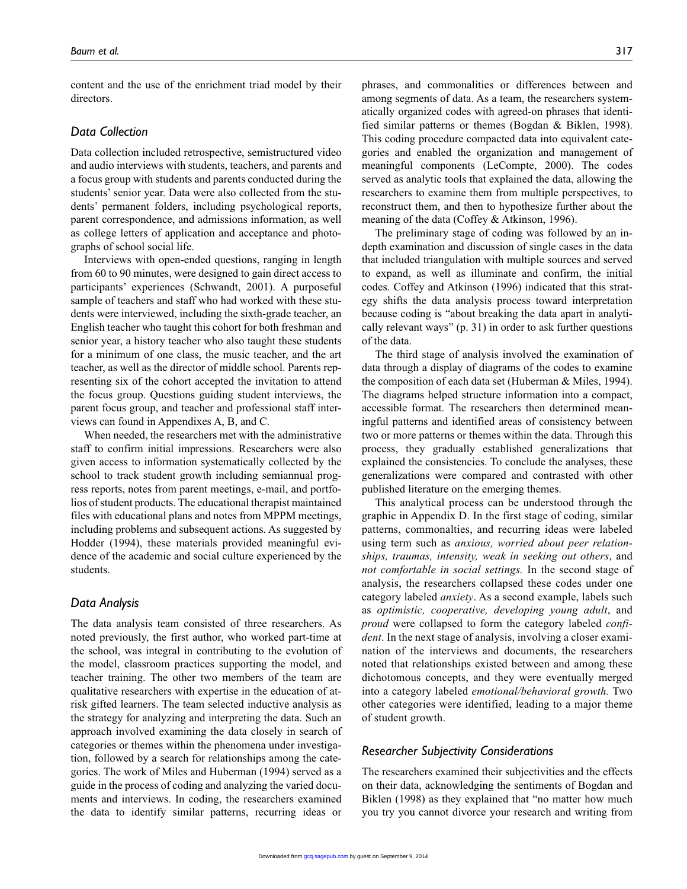content and the use of the enrichment triad model by their directors.

#### *Data Collection*

Data collection included retrospective, semistructured video and audio interviews with students, teachers, and parents and a focus group with students and parents conducted during the students' senior year. Data were also collected from the students' permanent folders, including psychological reports, parent correspondence, and admissions information, as well as college letters of application and acceptance and photographs of school social life.

Interviews with open-ended questions, ranging in length from 60 to 90 minutes, were designed to gain direct access to participants' experiences (Schwandt, 2001). A purposeful sample of teachers and staff who had worked with these students were interviewed, including the sixth-grade teacher, an English teacher who taught this cohort for both freshman and senior year, a history teacher who also taught these students for a minimum of one class, the music teacher, and the art teacher, as well as the director of middle school. Parents representing six of the cohort accepted the invitation to attend the focus group. Questions guiding student interviews, the parent focus group, and teacher and professional staff interviews can found in Appendixes A, B, and C.

When needed, the researchers met with the administrative staff to confirm initial impressions. Researchers were also given access to information systematically collected by the school to track student growth including semiannual progress reports, notes from parent meetings, e-mail, and portfolios of student products. The educational therapist maintained files with educational plans and notes from MPPM meetings, including problems and subsequent actions. As suggested by Hodder (1994), these materials provided meaningful evidence of the academic and social culture experienced by the students.

#### *Data Analysis*

The data analysis team consisted of three researchers. As noted previously, the first author, who worked part-time at the school, was integral in contributing to the evolution of the model, classroom practices supporting the model, and teacher training. The other two members of the team are qualitative researchers with expertise in the education of atrisk gifted learners. The team selected inductive analysis as the strategy for analyzing and interpreting the data. Such an approach involved examining the data closely in search of categories or themes within the phenomena under investigation, followed by a search for relationships among the categories. The work of Miles and Huberman (1994) served as a guide in the process of coding and analyzing the varied documents and interviews. In coding, the researchers examined the data to identify similar patterns, recurring ideas or

phrases, and commonalities or differences between and among segments of data. As a team, the researchers systematically organized codes with agreed-on phrases that identified similar patterns or themes (Bogdan & Biklen, 1998). This coding procedure compacted data into equivalent categories and enabled the organization and management of meaningful components (LeCompte, 2000). The codes served as analytic tools that explained the data, allowing the researchers to examine them from multiple perspectives, to reconstruct them, and then to hypothesize further about the meaning of the data (Coffey & Atkinson, 1996).

The preliminary stage of coding was followed by an indepth examination and discussion of single cases in the data that included triangulation with multiple sources and served to expand, as well as illuminate and confirm, the initial codes. Coffey and Atkinson (1996) indicated that this strategy shifts the data analysis process toward interpretation because coding is "about breaking the data apart in analytically relevant ways" (p. 31) in order to ask further questions of the data.

The third stage of analysis involved the examination of data through a display of diagrams of the codes to examine the composition of each data set (Huberman & Miles, 1994). The diagrams helped structure information into a compact, accessible format. The researchers then determined meaningful patterns and identified areas of consistency between two or more patterns or themes within the data. Through this process, they gradually established generalizations that explained the consistencies. To conclude the analyses, these generalizations were compared and contrasted with other published literature on the emerging themes.

This analytical process can be understood through the graphic in Appendix D. In the first stage of coding, similar patterns, commonalties, and recurring ideas were labeled using term such as *anxious, worried about peer relationships, traumas, intensity, weak in seeking out others*, and *not comfortable in social settings.* In the second stage of analysis, the researchers collapsed these codes under one category labeled *anxiety*. As a second example, labels such as *optimistic, cooperative, developing young adult*, and *proud* were collapsed to form the category labeled *confident*. In the next stage of analysis, involving a closer examination of the interviews and documents, the researchers noted that relationships existed between and among these dichotomous concepts, and they were eventually merged into a category labeled *emotional/behavioral growth.* Two other categories were identified, leading to a major theme of student growth.

#### *Researcher Subjectivity Considerations*

The researchers examined their subjectivities and the effects on their data, acknowledging the sentiments of Bogdan and Biklen (1998) as they explained that "no matter how much you try you cannot divorce your research and writing from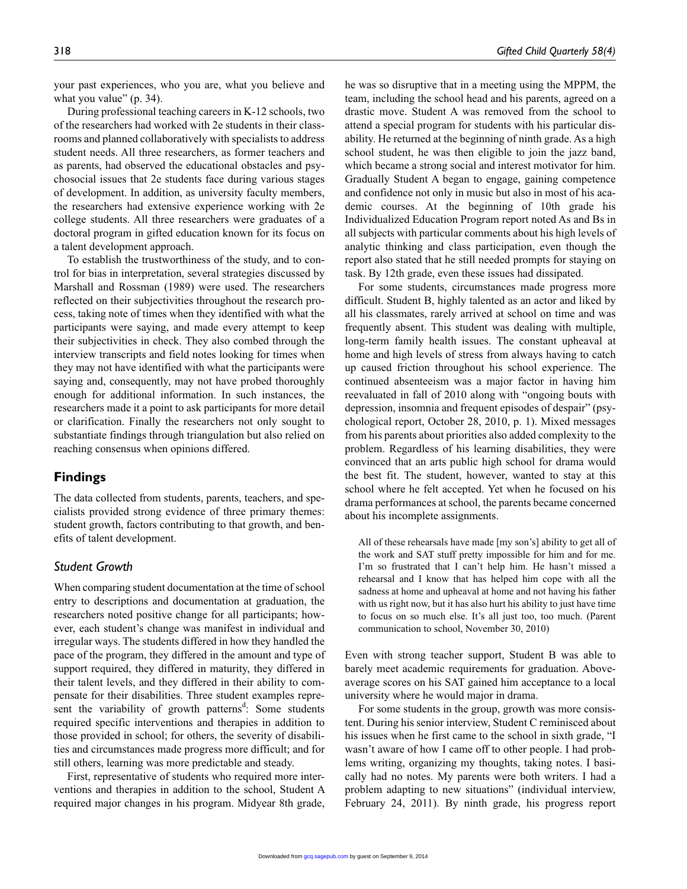your past experiences, who you are, what you believe and what you value" (p. 34).

During professional teaching careers in K-12 schools, two of the researchers had worked with 2e students in their classrooms and planned collaboratively with specialists to address student needs. All three researchers, as former teachers and as parents, had observed the educational obstacles and psychosocial issues that 2e students face during various stages of development. In addition, as university faculty members, the researchers had extensive experience working with 2e college students. All three researchers were graduates of a doctoral program in gifted education known for its focus on a talent development approach.

To establish the trustworthiness of the study, and to control for bias in interpretation, several strategies discussed by Marshall and Rossman (1989) were used. The researchers reflected on their subjectivities throughout the research process, taking note of times when they identified with what the participants were saying, and made every attempt to keep their subjectivities in check. They also combed through the interview transcripts and field notes looking for times when they may not have identified with what the participants were saying and, consequently, may not have probed thoroughly enough for additional information. In such instances, the researchers made it a point to ask participants for more detail or clarification. Finally the researchers not only sought to substantiate findings through triangulation but also relied on reaching consensus when opinions differed.

## **Findings**

The data collected from students, parents, teachers, and specialists provided strong evidence of three primary themes: student growth, factors contributing to that growth, and benefits of talent development.

#### *Student Growth*

When comparing student documentation at the time of school entry to descriptions and documentation at graduation, the researchers noted positive change for all participants; however, each student's change was manifest in individual and irregular ways. The students differed in how they handled the pace of the program, they differed in the amount and type of support required, they differed in maturity, they differed in their talent levels, and they differed in their ability to compensate for their disabilities. Three student examples represent the variability of growth patterns<sup>d</sup>: Some students required specific interventions and therapies in addition to those provided in school; for others, the severity of disabilities and circumstances made progress more difficult; and for still others, learning was more predictable and steady.

First, representative of students who required more interventions and therapies in addition to the school, Student A required major changes in his program. Midyear 8th grade, he was so disruptive that in a meeting using the MPPM, the team, including the school head and his parents, agreed on a drastic move. Student A was removed from the school to attend a special program for students with his particular disability. He returned at the beginning of ninth grade. As a high school student, he was then eligible to join the jazz band, which became a strong social and interest motivator for him. Gradually Student A began to engage, gaining competence and confidence not only in music but also in most of his academic courses. At the beginning of 10th grade his Individualized Education Program report noted As and Bs in all subjects with particular comments about his high levels of analytic thinking and class participation, even though the report also stated that he still needed prompts for staying on task. By 12th grade, even these issues had dissipated.

For some students, circumstances made progress more difficult. Student B, highly talented as an actor and liked by all his classmates, rarely arrived at school on time and was frequently absent. This student was dealing with multiple, long-term family health issues. The constant upheaval at home and high levels of stress from always having to catch up caused friction throughout his school experience. The continued absenteeism was a major factor in having him reevaluated in fall of 2010 along with "ongoing bouts with depression, insomnia and frequent episodes of despair" (psychological report, October 28, 2010, p. 1). Mixed messages from his parents about priorities also added complexity to the problem. Regardless of his learning disabilities, they were convinced that an arts public high school for drama would the best fit. The student, however, wanted to stay at this school where he felt accepted. Yet when he focused on his drama performances at school, the parents became concerned about his incomplete assignments.

All of these rehearsals have made [my son's] ability to get all of the work and SAT stuff pretty impossible for him and for me. I'm so frustrated that I can't help him. He hasn't missed a rehearsal and I know that has helped him cope with all the sadness at home and upheaval at home and not having his father with us right now, but it has also hurt his ability to just have time to focus on so much else. It's all just too, too much. (Parent communication to school, November 30, 2010)

Even with strong teacher support, Student B was able to barely meet academic requirements for graduation. Aboveaverage scores on his SAT gained him acceptance to a local university where he would major in drama.

For some students in the group, growth was more consistent. During his senior interview, Student C reminisced about his issues when he first came to the school in sixth grade, "I wasn't aware of how I came off to other people. I had problems writing, organizing my thoughts, taking notes. I basically had no notes. My parents were both writers. I had a problem adapting to new situations" (individual interview, February 24, 2011). By ninth grade, his progress report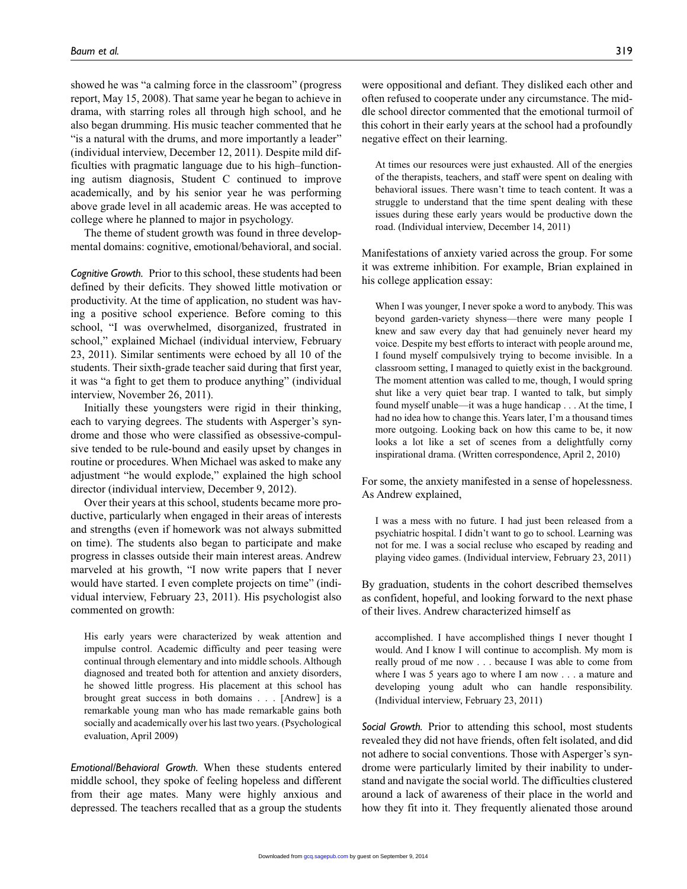showed he was "a calming force in the classroom" (progress report, May 15, 2008). That same year he began to achieve in drama, with starring roles all through high school, and he also began drumming. His music teacher commented that he "is a natural with the drums, and more importantly a leader" (individual interview, December 12, 2011). Despite mild difficulties with pragmatic language due to his high–functioning autism diagnosis, Student C continued to improve academically, and by his senior year he was performing above grade level in all academic areas. He was accepted to college where he planned to major in psychology.

The theme of student growth was found in three developmental domains: cognitive, emotional/behavioral, and social.

*Cognitive Growth.* Prior to this school, these students had been defined by their deficits. They showed little motivation or productivity. At the time of application, no student was having a positive school experience. Before coming to this school, "I was overwhelmed, disorganized, frustrated in school," explained Michael (individual interview, February 23, 2011). Similar sentiments were echoed by all 10 of the students. Their sixth-grade teacher said during that first year, it was "a fight to get them to produce anything" (individual interview, November 26, 2011).

Initially these youngsters were rigid in their thinking, each to varying degrees. The students with Asperger's syndrome and those who were classified as obsessive-compulsive tended to be rule-bound and easily upset by changes in routine or procedures. When Michael was asked to make any adjustment "he would explode," explained the high school director (individual interview, December 9, 2012).

Over their years at this school, students became more productive, particularly when engaged in their areas of interests and strengths (even if homework was not always submitted on time). The students also began to participate and make progress in classes outside their main interest areas. Andrew marveled at his growth, "I now write papers that I never would have started. I even complete projects on time" (individual interview, February 23, 2011). His psychologist also commented on growth:

His early years were characterized by weak attention and impulse control. Academic difficulty and peer teasing were continual through elementary and into middle schools. Although diagnosed and treated both for attention and anxiety disorders, he showed little progress. His placement at this school has brought great success in both domains . . . [Andrew] is a remarkable young man who has made remarkable gains both socially and academically over his last two years. (Psychological evaluation, April 2009)

*Emotional/Behavioral Growth.* When these students entered middle school, they spoke of feeling hopeless and different from their age mates. Many were highly anxious and depressed. The teachers recalled that as a group the students

were oppositional and defiant. They disliked each other and often refused to cooperate under any circumstance. The middle school director commented that the emotional turmoil of this cohort in their early years at the school had a profoundly negative effect on their learning.

At times our resources were just exhausted. All of the energies of the therapists, teachers, and staff were spent on dealing with behavioral issues. There wasn't time to teach content. It was a struggle to understand that the time spent dealing with these issues during these early years would be productive down the road. (Individual interview, December 14, 2011)

Manifestations of anxiety varied across the group. For some it was extreme inhibition. For example, Brian explained in his college application essay:

When I was younger, I never spoke a word to anybody. This was beyond garden-variety shyness—there were many people I knew and saw every day that had genuinely never heard my voice. Despite my best efforts to interact with people around me, I found myself compulsively trying to become invisible. In a classroom setting, I managed to quietly exist in the background. The moment attention was called to me, though, I would spring shut like a very quiet bear trap. I wanted to talk, but simply found myself unable—it was a huge handicap . . . At the time, I had no idea how to change this. Years later, I'm a thousand times more outgoing. Looking back on how this came to be, it now looks a lot like a set of scenes from a delightfully corny inspirational drama. (Written correspondence, April 2, 2010)

For some, the anxiety manifested in a sense of hopelessness. As Andrew explained,

I was a mess with no future. I had just been released from a psychiatric hospital. I didn't want to go to school. Learning was not for me. I was a social recluse who escaped by reading and playing video games. (Individual interview, February 23, 2011)

By graduation, students in the cohort described themselves as confident, hopeful, and looking forward to the next phase of their lives. Andrew characterized himself as

accomplished. I have accomplished things I never thought I would. And I know I will continue to accomplish. My mom is really proud of me now . . . because I was able to come from where I was 5 years ago to where I am now . . . a mature and developing young adult who can handle responsibility. (Individual interview, February 23, 2011)

*Social Growth.* Prior to attending this school, most students revealed they did not have friends, often felt isolated, and did not adhere to social conventions. Those with Asperger's syndrome were particularly limited by their inability to understand and navigate the social world. The difficulties clustered around a lack of awareness of their place in the world and how they fit into it. They frequently alienated those around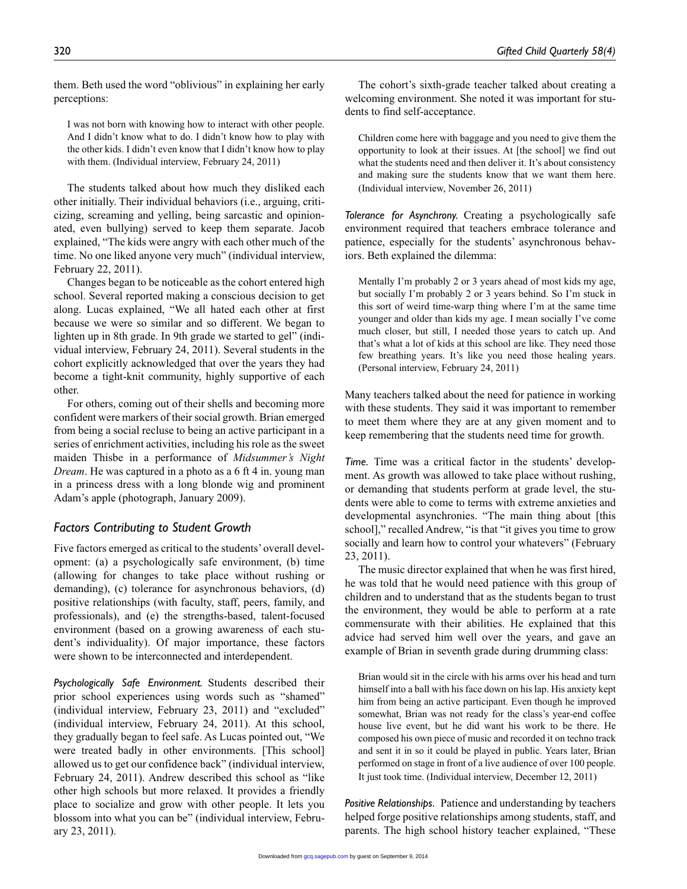them. Beth used the word "oblivious" in explaining her early perceptions:

I was not born with knowing how to interact with other people. And I didn't know what to do. I didn't know how to play with the other kids. I didn't even know that I didn't know how to play with them. (Individual interview, February 24, 2011)

The students talked about how much they disliked each other initially. Their individual behaviors (i.e., arguing, criticizing, screaming and yelling, being sarcastic and opinionated, even bullying) served to keep them separate. Jacob explained, "The kids were angry with each other much of the time. No one liked anyone very much" (individual interview, February 22, 2011).

Changes began to be noticeable as the cohort entered high school. Several reported making a conscious decision to get along. Lucas explained, "We all hated each other at first because we were so similar and so different. We began to lighten up in 8th grade. In 9th grade we started to gel" (individual interview, February 24, 2011). Several students in the cohort explicitly acknowledged that over the years they had become a tight-knit community, highly supportive of each other.

For others, coming out of their shells and becoming more confident were markers of their social growth. Brian emerged from being a social recluse to being an active participant in a series of enrichment activities, including his role as the sweet maiden Thisbe in a performance of *Midsummer's Night Dream*. He was captured in a photo as a 6 ft 4 in. young man in a princess dress with a long blonde wig and prominent Adam's apple (photograph, January 2009).

## *Factors Contributing to Student Growth*

Five factors emerged as critical to the students' overall development: (a) a psychologically safe environment, (b) time (allowing for changes to take place without rushing or demanding), (c) tolerance for asynchronous behaviors, (d) positive relationships (with faculty, staff, peers, family, and professionals), and (e) the strengths-based, talent-focused environment (based on a growing awareness of each student's individuality). Of major importance, these factors were shown to be interconnected and interdependent.

*Psychologically Safe Environment.* Students described their prior school experiences using words such as "shamed" (individual interview, February 23, 2011) and "excluded" (individual interview, February 24, 2011). At this school, they gradually began to feel safe. As Lucas pointed out, "We were treated badly in other environments. [This school] allowed us to get our confidence back" (individual interview, February 24, 2011). Andrew described this school as "like other high schools but more relaxed. It provides a friendly place to socialize and grow with other people. It lets you blossom into what you can be" (individual interview, February 23, 2011).

The cohort's sixth-grade teacher talked about creating a welcoming environment. She noted it was important for students to find self-acceptance.

Children come here with baggage and you need to give them the opportunity to look at their issues. At [the school] we find out what the students need and then deliver it. It's about consistency and making sure the students know that we want them here. (Individual interview, November 26, 2011)

*Tolerance for Asynchrony.* Creating a psychologically safe environment required that teachers embrace tolerance and patience, especially for the students' asynchronous behaviors. Beth explained the dilemma:

Mentally I'm probably 2 or 3 years ahead of most kids my age, but socially I'm probably 2 or 3 years behind. So I'm stuck in this sort of weird time-warp thing where I'm at the same time younger and older than kids my age. I mean socially I've come much closer, but still, I needed those years to catch up. And that's what a lot of kids at this school are like. They need those few breathing years. It's like you need those healing years. (Personal interview, February 24, 2011)

Many teachers talked about the need for patience in working with these students. They said it was important to remember to meet them where they are at any given moment and to keep remembering that the students need time for growth.

*Time.* Time was a critical factor in the students' development. As growth was allowed to take place without rushing, or demanding that students perform at grade level, the students were able to come to terms with extreme anxieties and developmental asynchronies. "The main thing about [this school]," recalled Andrew, "is that "it gives you time to grow socially and learn how to control your whatevers" (February 23, 2011).

The music director explained that when he was first hired, he was told that he would need patience with this group of children and to understand that as the students began to trust the environment, they would be able to perform at a rate commensurate with their abilities. He explained that this advice had served him well over the years, and gave an example of Brian in seventh grade during drumming class:

Brian would sit in the circle with his arms over his head and turn himself into a ball with his face down on his lap. His anxiety kept him from being an active participant. Even though he improved somewhat, Brian was not ready for the class's year-end coffee house live event, but he did want his work to be there. He composed his own piece of music and recorded it on techno track and sent it in so it could be played in public. Years later, Brian performed on stage in front of a live audience of over 100 people. It just took time. (Individual interview, December 12, 2011)

*Positive Relationships.* Patience and understanding by teachers helped forge positive relationships among students, staff, and parents. The high school history teacher explained, "These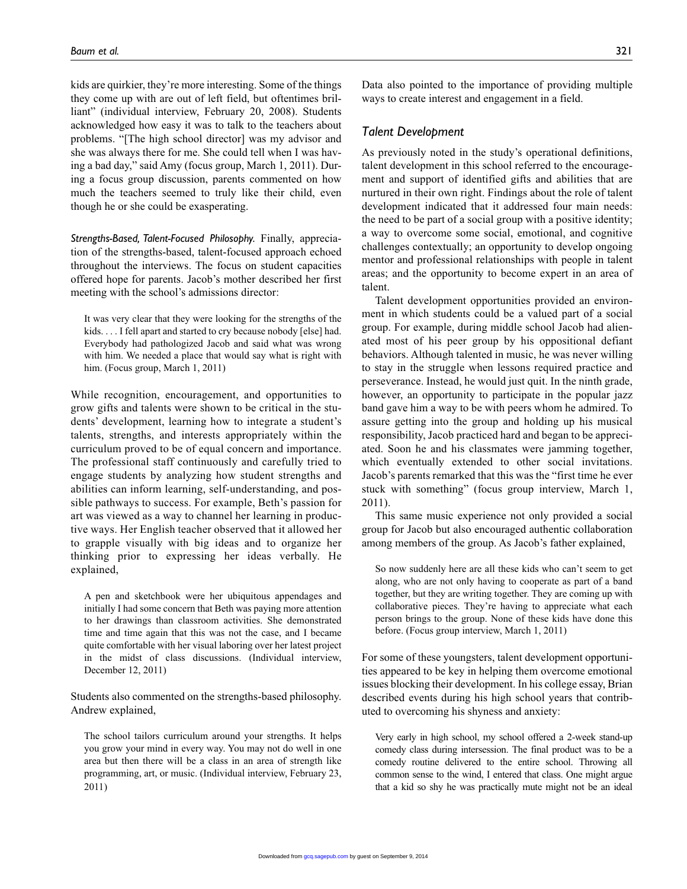kids are quirkier, they're more interesting. Some of the things they come up with are out of left field, but oftentimes brilliant" (individual interview, February 20, 2008). Students acknowledged how easy it was to talk to the teachers about problems. "[The high school director] was my advisor and she was always there for me. She could tell when I was having a bad day," said Amy (focus group, March 1, 2011). During a focus group discussion, parents commented on how much the teachers seemed to truly like their child, even though he or she could be exasperating.

*Strengths-Based, Talent-Focused Philosophy.* Finally, appreciation of the strengths-based, talent-focused approach echoed throughout the interviews. The focus on student capacities offered hope for parents. Jacob's mother described her first meeting with the school's admissions director:

It was very clear that they were looking for the strengths of the kids. . . . I fell apart and started to cry because nobody [else] had. Everybody had pathologized Jacob and said what was wrong with him. We needed a place that would say what is right with him. (Focus group, March 1, 2011)

While recognition, encouragement, and opportunities to grow gifts and talents were shown to be critical in the students' development, learning how to integrate a student's talents, strengths, and interests appropriately within the curriculum proved to be of equal concern and importance. The professional staff continuously and carefully tried to engage students by analyzing how student strengths and abilities can inform learning, self-understanding, and possible pathways to success. For example, Beth's passion for art was viewed as a way to channel her learning in productive ways. Her English teacher observed that it allowed her to grapple visually with big ideas and to organize her thinking prior to expressing her ideas verbally. He explained,

A pen and sketchbook were her ubiquitous appendages and initially I had some concern that Beth was paying more attention to her drawings than classroom activities. She demonstrated time and time again that this was not the case, and I became quite comfortable with her visual laboring over her latest project in the midst of class discussions. (Individual interview, December 12, 2011)

Students also commented on the strengths-based philosophy. Andrew explained,

The school tailors curriculum around your strengths. It helps you grow your mind in every way. You may not do well in one area but then there will be a class in an area of strength like programming, art, or music. (Individual interview, February 23, 2011)

Data also pointed to the importance of providing multiple ways to create interest and engagement in a field.

#### *Talent Development*

As previously noted in the study's operational definitions, talent development in this school referred to the encouragement and support of identified gifts and abilities that are nurtured in their own right. Findings about the role of talent development indicated that it addressed four main needs: the need to be part of a social group with a positive identity; a way to overcome some social, emotional, and cognitive challenges contextually; an opportunity to develop ongoing mentor and professional relationships with people in talent areas; and the opportunity to become expert in an area of talent.

Talent development opportunities provided an environment in which students could be a valued part of a social group. For example, during middle school Jacob had alienated most of his peer group by his oppositional defiant behaviors. Although talented in music, he was never willing to stay in the struggle when lessons required practice and perseverance. Instead, he would just quit. In the ninth grade, however, an opportunity to participate in the popular jazz band gave him a way to be with peers whom he admired. To assure getting into the group and holding up his musical responsibility, Jacob practiced hard and began to be appreciated. Soon he and his classmates were jamming together, which eventually extended to other social invitations. Jacob's parents remarked that this was the "first time he ever stuck with something" (focus group interview, March 1, 2011).

This same music experience not only provided a social group for Jacob but also encouraged authentic collaboration among members of the group. As Jacob's father explained,

So now suddenly here are all these kids who can't seem to get along, who are not only having to cooperate as part of a band together, but they are writing together. They are coming up with collaborative pieces. They're having to appreciate what each person brings to the group. None of these kids have done this before. (Focus group interview, March 1, 2011)

For some of these youngsters, talent development opportunities appeared to be key in helping them overcome emotional issues blocking their development. In his college essay, Brian described events during his high school years that contributed to overcoming his shyness and anxiety:

Very early in high school, my school offered a 2-week stand-up comedy class during intersession. The final product was to be a comedy routine delivered to the entire school. Throwing all common sense to the wind, I entered that class. One might argue that a kid so shy he was practically mute might not be an ideal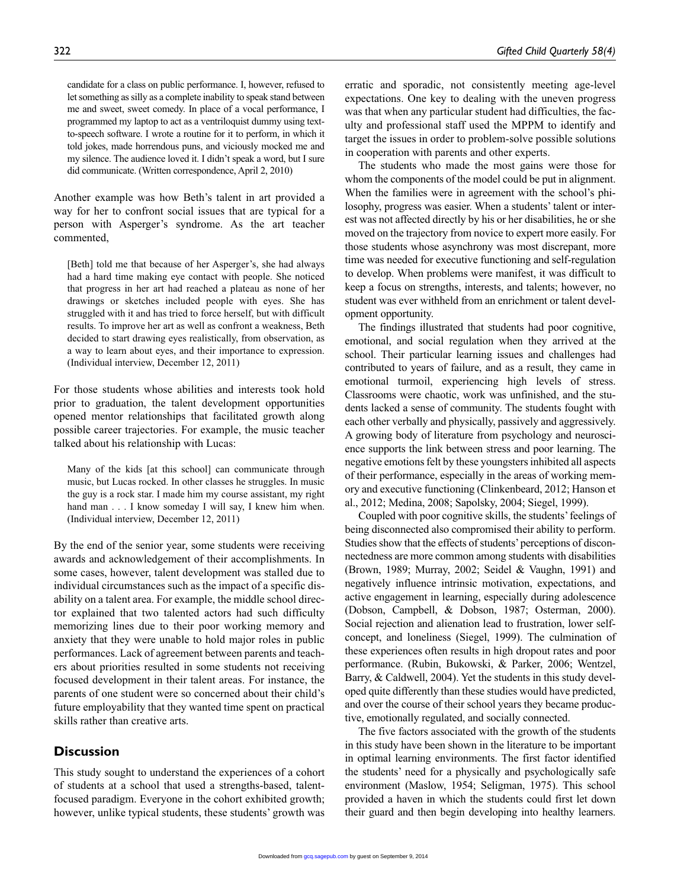candidate for a class on public performance. I, however, refused to let something as silly as a complete inability to speak stand between me and sweet, sweet comedy. In place of a vocal performance, I programmed my laptop to act as a ventriloquist dummy using textto-speech software. I wrote a routine for it to perform, in which it told jokes, made horrendous puns, and viciously mocked me and my silence. The audience loved it. I didn't speak a word, but I sure did communicate. (Written correspondence, April 2, 2010)

Another example was how Beth's talent in art provided a way for her to confront social issues that are typical for a person with Asperger's syndrome. As the art teacher commented,

[Beth] told me that because of her Asperger's, she had always had a hard time making eye contact with people. She noticed that progress in her art had reached a plateau as none of her drawings or sketches included people with eyes. She has struggled with it and has tried to force herself, but with difficult results. To improve her art as well as confront a weakness, Beth decided to start drawing eyes realistically, from observation, as a way to learn about eyes, and their importance to expression. (Individual interview, December 12, 2011)

For those students whose abilities and interests took hold prior to graduation, the talent development opportunities opened mentor relationships that facilitated growth along possible career trajectories. For example, the music teacher talked about his relationship with Lucas:

Many of the kids [at this school] can communicate through music, but Lucas rocked. In other classes he struggles. In music the guy is a rock star. I made him my course assistant, my right hand man . . . I know someday I will say, I knew him when. (Individual interview, December 12, 2011)

By the end of the senior year, some students were receiving awards and acknowledgement of their accomplishments. In some cases, however, talent development was stalled due to individual circumstances such as the impact of a specific disability on a talent area. For example, the middle school director explained that two talented actors had such difficulty memorizing lines due to their poor working memory and anxiety that they were unable to hold major roles in public performances. Lack of agreement between parents and teachers about priorities resulted in some students not receiving focused development in their talent areas. For instance, the parents of one student were so concerned about their child's future employability that they wanted time spent on practical skills rather than creative arts.

## **Discussion**

This study sought to understand the experiences of a cohort of students at a school that used a strengths-based, talentfocused paradigm. Everyone in the cohort exhibited growth; however, unlike typical students, these students' growth was erratic and sporadic, not consistently meeting age-level expectations. One key to dealing with the uneven progress was that when any particular student had difficulties, the faculty and professional staff used the MPPM to identify and target the issues in order to problem-solve possible solutions in cooperation with parents and other experts.

The students who made the most gains were those for whom the components of the model could be put in alignment. When the families were in agreement with the school's philosophy, progress was easier. When a students' talent or interest was not affected directly by his or her disabilities, he or she moved on the trajectory from novice to expert more easily. For those students whose asynchrony was most discrepant, more time was needed for executive functioning and self-regulation to develop. When problems were manifest, it was difficult to keep a focus on strengths, interests, and talents; however, no student was ever withheld from an enrichment or talent development opportunity.

The findings illustrated that students had poor cognitive, emotional, and social regulation when they arrived at the school. Their particular learning issues and challenges had contributed to years of failure, and as a result, they came in emotional turmoil, experiencing high levels of stress. Classrooms were chaotic, work was unfinished, and the students lacked a sense of community. The students fought with each other verbally and physically, passively and aggressively. A growing body of literature from psychology and neuroscience supports the link between stress and poor learning. The negative emotions felt by these youngsters inhibited all aspects of their performance, especially in the areas of working memory and executive functioning (Clinkenbeard, 2012; Hanson et al., 2012; Medina, 2008; Sapolsky, 2004; Siegel, 1999).

Coupled with poor cognitive skills, the students' feelings of being disconnected also compromised their ability to perform. Studies show that the effects of students' perceptions of disconnectedness are more common among students with disabilities (Brown, 1989; Murray, 2002; Seidel & Vaughn, 1991) and negatively influence intrinsic motivation, expectations, and active engagement in learning, especially during adolescence (Dobson, Campbell, & Dobson, 1987; Osterman, 2000). Social rejection and alienation lead to frustration, lower selfconcept, and loneliness (Siegel, 1999). The culmination of these experiences often results in high dropout rates and poor performance. (Rubin, Bukowski, & Parker, 2006; Wentzel, Barry, & Caldwell, 2004). Yet the students in this study developed quite differently than these studies would have predicted, and over the course of their school years they became productive, emotionally regulated, and socially connected.

The five factors associated with the growth of the students in this study have been shown in the literature to be important in optimal learning environments. The first factor identified the students' need for a physically and psychologically safe environment (Maslow, 1954; Seligman, 1975). This school provided a haven in which the students could first let down their guard and then begin developing into healthy learners.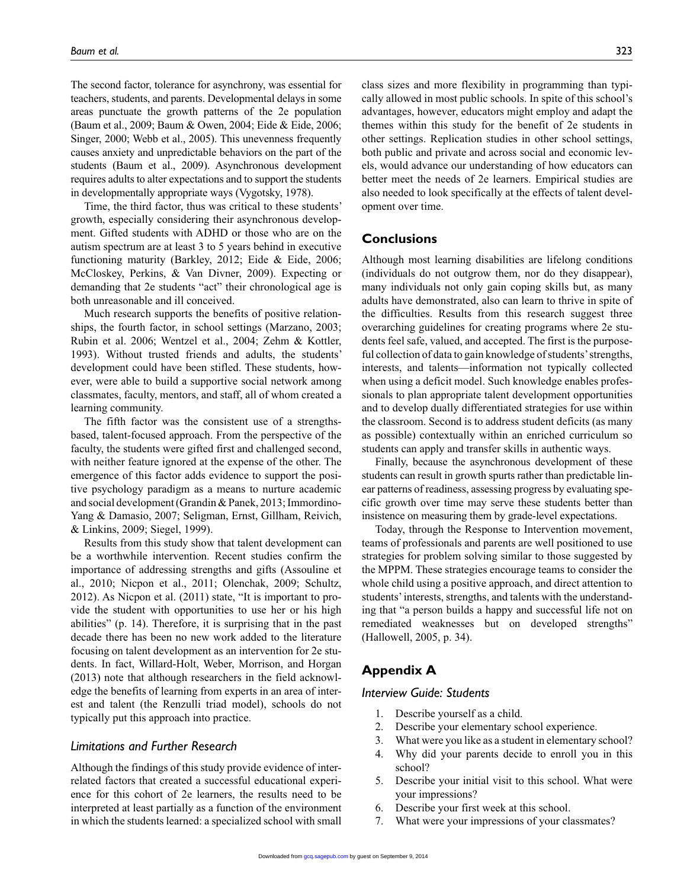The second factor, tolerance for asynchrony, was essential for teachers, students, and parents. Developmental delays in some areas punctuate the growth patterns of the 2e population (Baum et al., 2009; Baum & Owen, 2004; Eide & Eide, 2006; Singer, 2000; Webb et al., 2005). This unevenness frequently causes anxiety and unpredictable behaviors on the part of the students (Baum et al., 2009). Asynchronous development requires adults to alter expectations and to support the students in developmentally appropriate ways (Vygotsky, 1978).

Time, the third factor, thus was critical to these students' growth, especially considering their asynchronous development. Gifted students with ADHD or those who are on the autism spectrum are at least 3 to 5 years behind in executive functioning maturity (Barkley, 2012; Eide & Eide, 2006; McCloskey, Perkins, & Van Divner, 2009). Expecting or demanding that 2e students "act" their chronological age is both unreasonable and ill conceived.

Much research supports the benefits of positive relationships, the fourth factor, in school settings (Marzano, 2003; Rubin et al. 2006; Wentzel et al., 2004; Zehm & Kottler, 1993). Without trusted friends and adults, the students' development could have been stifled. These students, however, were able to build a supportive social network among classmates, faculty, mentors, and staff, all of whom created a learning community.

The fifth factor was the consistent use of a strengthsbased, talent-focused approach. From the perspective of the faculty, the students were gifted first and challenged second, with neither feature ignored at the expense of the other. The emergence of this factor adds evidence to support the positive psychology paradigm as a means to nurture academic and social development (Grandin & Panek, 2013; Immordino-Yang & Damasio, 2007; Seligman, Ernst, Gillham, Reivich, & Linkins, 2009; Siegel, 1999).

Results from this study show that talent development can be a worthwhile intervention. Recent studies confirm the importance of addressing strengths and gifts (Assouline et al., 2010; Nicpon et al., 2011; Olenchak, 2009; Schultz, 2012). As Nicpon et al. (2011) state, "It is important to provide the student with opportunities to use her or his high abilities" (p. 14). Therefore, it is surprising that in the past decade there has been no new work added to the literature focusing on talent development as an intervention for 2e students. In fact, Willard-Holt, Weber, Morrison, and Horgan (2013) note that although researchers in the field acknowledge the benefits of learning from experts in an area of interest and talent (the Renzulli triad model), schools do not typically put this approach into practice.

#### *Limitations and Further Research*

Although the findings of this study provide evidence of interrelated factors that created a successful educational experience for this cohort of 2e learners, the results need to be interpreted at least partially as a function of the environment in which the students learned: a specialized school with small class sizes and more flexibility in programming than typically allowed in most public schools. In spite of this school's advantages, however, educators might employ and adapt the themes within this study for the benefit of 2e students in other settings. Replication studies in other school settings, both public and private and across social and economic levels, would advance our understanding of how educators can better meet the needs of 2e learners. Empirical studies are also needed to look specifically at the effects of talent development over time.

#### **Conclusions**

Although most learning disabilities are lifelong conditions (individuals do not outgrow them, nor do they disappear), many individuals not only gain coping skills but, as many adults have demonstrated, also can learn to thrive in spite of the difficulties. Results from this research suggest three overarching guidelines for creating programs where 2e students feel safe, valued, and accepted. The first is the purposeful collection of data to gain knowledge of students' strengths, interests, and talents—information not typically collected when using a deficit model. Such knowledge enables professionals to plan appropriate talent development opportunities and to develop dually differentiated strategies for use within the classroom. Second is to address student deficits (as many as possible) contextually within an enriched curriculum so students can apply and transfer skills in authentic ways.

Finally, because the asynchronous development of these students can result in growth spurts rather than predictable linear patterns of readiness, assessing progress by evaluating specific growth over time may serve these students better than insistence on measuring them by grade-level expectations.

Today, through the Response to Intervention movement, teams of professionals and parents are well positioned to use strategies for problem solving similar to those suggested by the MPPM. These strategies encourage teams to consider the whole child using a positive approach, and direct attention to students' interests, strengths, and talents with the understanding that "a person builds a happy and successful life not on remediated weaknesses but on developed strengths" (Hallowell, 2005, p. 34).

## **Appendix A**

#### *Interview Guide: Students*

- 1. Describe yourself as a child.
- 2. Describe your elementary school experience.
- 3. What were you like as a student in elementary school?
- 4. Why did your parents decide to enroll you in this school?
- 5. Describe your initial visit to this school. What were your impressions?
- 6. Describe your first week at this school.
- 7. What were your impressions of your classmates?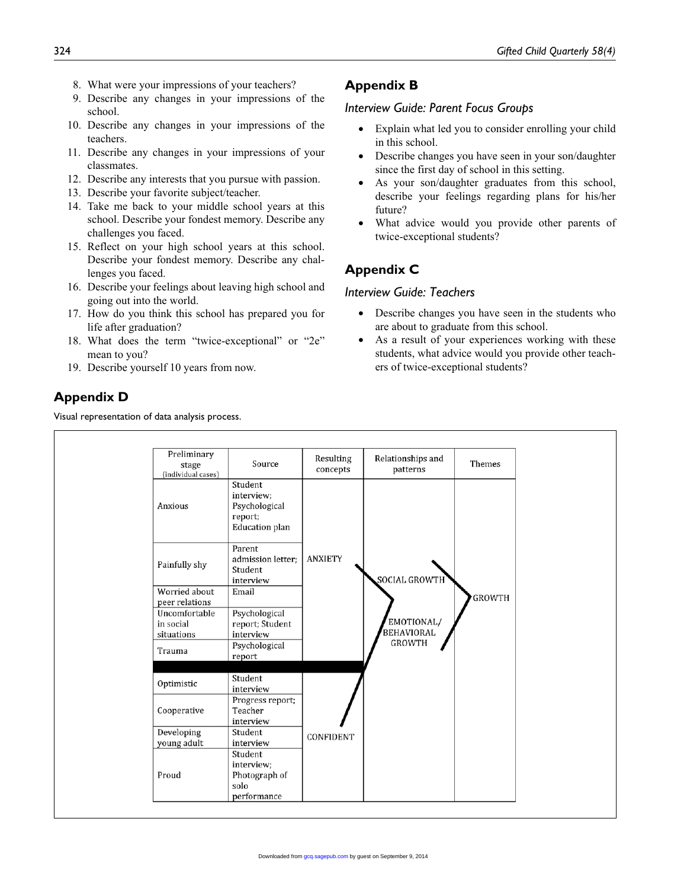- 8. What were your impressions of your teachers?
- 9. Describe any changes in your impressions of the school.
- 10. Describe any changes in your impressions of the teachers.
- 11. Describe any changes in your impressions of your classmates.
- 12. Describe any interests that you pursue with passion.
- 13. Describe your favorite subject/teacher.
- 14. Take me back to your middle school years at this school. Describe your fondest memory. Describe any challenges you faced.
- 15. Reflect on your high school years at this school. Describe your fondest memory. Describe any challenges you faced.
- 16. Describe your feelings about leaving high school and going out into the world.
- 17. How do you think this school has prepared you for life after graduation?
- 18. What does the term "twice-exceptional" or "2e" mean to you?
- 19. Describe yourself 10 years from now.

## **Appendix D**

Visual representation of data analysis process.

## **Appendix B**

## *Interview Guide: Parent Focus Groups*

- •• Explain what led you to consider enrolling your child in this school.
- Describe changes you have seen in your son/daughter since the first day of school in this setting.
- As your son/daughter graduates from this school, describe your feelings regarding plans for his/her future?
- What advice would you provide other parents of twice-exceptional students?

## **Appendix C**

## *Interview Guide: Teachers*

- Describe changes you have seen in the students who are about to graduate from this school.
- As a result of your experiences working with these students, what advice would you provide other teachers of twice-exceptional students?

| Preliminary<br>stage<br>(individual cases) | Source                                                              | Resulting<br>concepts | Relationships and<br>patterns | Themes        |
|--------------------------------------------|---------------------------------------------------------------------|-----------------------|-------------------------------|---------------|
| Anxious                                    | Student<br>interview;<br>Psychological<br>report;<br>Education plan |                       |                               |               |
| Painfully shy                              | Parent<br>admission letter;<br>Student<br>interview                 | <b>ANXIETY</b>        | SOCIAL GROWTH                 | <b>GROWTH</b> |
| Worried about<br>peer relations            | Email                                                               |                       |                               |               |
| Uncomfortable<br>in social<br>situations   | Psychological<br>report; Student<br>interview                       |                       | EMOTIONAL/<br>BEHAVIORAL      |               |
| Trauma                                     | Psychological<br>report                                             |                       | GROWTH                        |               |
|                                            |                                                                     |                       |                               |               |
| Optimistic                                 | Student<br>interview                                                |                       |                               |               |
| Cooperative                                | Progress report;<br>Teacher<br>interview                            |                       |                               |               |
| Developing                                 | Student                                                             | CONFIDENT             |                               |               |
| young adult                                | interview                                                           |                       |                               |               |
| Proud                                      | Student<br>interview;<br>Photograph of<br>solo                      |                       |                               |               |
|                                            | performance                                                         |                       |                               |               |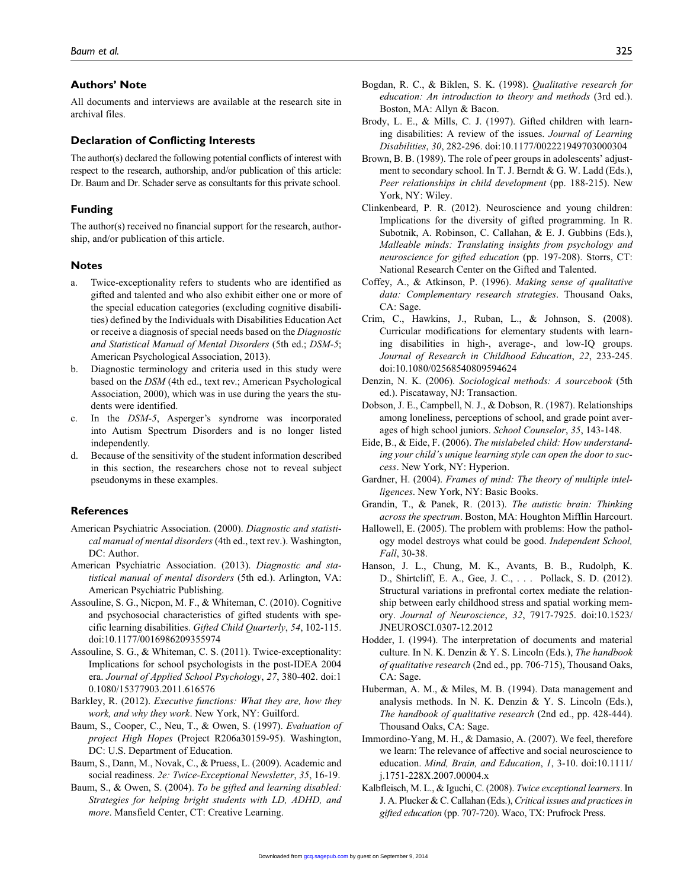#### **Authors' Note**

All documents and interviews are available at the research site in archival files.

#### **Declaration of Conflicting Interests**

The author(s) declared the following potential conflicts of interest with respect to the research, authorship, and/or publication of this article: Dr. Baum and Dr. Schader serve as consultants for this private school.

#### **Funding**

The author(s) received no financial support for the research, authorship, and/or publication of this article.

#### **Notes**

- a. Twice-exceptionality refers to students who are identified as gifted and talented and who also exhibit either one or more of the special education categories (excluding cognitive disabilities) defined by the Individuals with Disabilities Education Act or receive a diagnosis of special needs based on the *Diagnostic and Statistical Manual of Mental Disorders* (5th ed.; *DSM-5*; American Psychological Association, 2013).
- b. Diagnostic terminology and criteria used in this study were based on the *DSM* (4th ed., text rev.; American Psychological Association, 2000), which was in use during the years the students were identified.
- c. In the *DSM-5*, Asperger's syndrome was incorporated into Autism Spectrum Disorders and is no longer listed independently.
- Because of the sensitivity of the student information described in this section, the researchers chose not to reveal subject pseudonyms in these examples.

#### **References**

- American Psychiatric Association. (2000). *Diagnostic and statistical manual of mental disorders* (4th ed., text rev.). Washington, DC: Author.
- American Psychiatric Association. (2013). *Diagnostic and statistical manual of mental disorders* (5th ed.). Arlington, VA: American Psychiatric Publishing.
- Assouline, S. G., Nicpon, M. F., & Whiteman, C. (2010). Cognitive and psychosocial characteristics of gifted students with specific learning disabilities. *Gifted Child Quarterly*, *54*, 102-115. doi:10.1177/0016986209355974
- Assouline, S. G., & Whiteman, C. S. (2011). Twice-exceptionality: Implications for school psychologists in the post-IDEA 2004 era. *Journal of Applied School Psychology*, *27*, 380-402. doi:1 0.1080/15377903.2011.616576
- Barkley, R. (2012). *Executive functions: What they are, how they work, and why they work*. New York, NY: Guilford.
- Baum, S., Cooper, C., Neu, T., & Owen, S. (1997). *Evaluation of project High Hopes* (Project R206a30159-95). Washington, DC: U.S. Department of Education.
- Baum, S., Dann, M., Novak, C., & Pruess, L. (2009). Academic and social readiness. *2e: Twice-Exceptional Newsletter*, *35*, 16-19.
- Baum, S., & Owen, S. (2004). *To be gifted and learning disabled: Strategies for helping bright students with LD, ADHD, and more*. Mansfield Center, CT: Creative Learning.
- Bogdan, R. C., & Biklen, S. K. (1998). *Qualitative research for education: An introduction to theory and methods* (3rd ed.). Boston, MA: Allyn & Bacon.
- Brody, L. E., & Mills, C. J. (1997). Gifted children with learning disabilities: A review of the issues. *Journal of Learning Disabilities*, *30*, 282-296. doi:10.1177/002221949703000304
- Brown, B. B. (1989). The role of peer groups in adolescents' adjustment to secondary school. In T. J. Berndt & G. W. Ladd (Eds.), *Peer relationships in child development* (pp. 188-215). New York, NY: Wiley.
- Clinkenbeard, P. R. (2012). Neuroscience and young children: Implications for the diversity of gifted programming. In R. Subotnik, A. Robinson, C. Callahan, & E. J. Gubbins (Eds.), *Malleable minds: Translating insights from psychology and neuroscience for gifted education* (pp. 197-208). Storrs, CT: National Research Center on the Gifted and Talented.
- Coffey, A., & Atkinson, P. (1996). *Making sense of qualitative data: Complementary research strategies*. Thousand Oaks, CA: Sage.
- Crim, C., Hawkins, J., Ruban, L., & Johnson, S. (2008). Curricular modifications for elementary students with learning disabilities in high-, average-, and low-IQ groups. *Journal of Research in Childhood Education*, *22*, 233-245. doi:10.1080/02568540809594624
- Denzin, N. K. (2006). *Sociological methods: A sourcebook* (5th ed.). Piscataway, NJ: Transaction.
- Dobson, J. E., Campbell, N. J., & Dobson, R. (1987). Relationships among loneliness, perceptions of school, and grade point averages of high school juniors. *School Counselor*, *35*, 143-148.
- Eide, B., & Eide, F. (2006). *The mislabeled child: How understanding your child's unique learning style can open the door to success*. New York, NY: Hyperion.
- Gardner, H. (2004). *Frames of mind: The theory of multiple intelligences*. New York, NY: Basic Books.
- Grandin, T., & Panek, R. (2013). *The autistic brain: Thinking across the spectrum*. Boston, MA: Houghton Mifflin Harcourt.
- Hallowell, E. (2005). The problem with problems: How the pathology model destroys what could be good. *Independent School, Fall*, 30-38.
- Hanson, J. L., Chung, M. K., Avants, B. B., Rudolph, K. D., Shirtcliff, E. A., Gee, J. C., . . . Pollack, S. D. (2012). Structural variations in prefrontal cortex mediate the relationship between early childhood stress and spatial working memory. *Journal of Neuroscience*, *32*, 7917-7925. doi:10.1523/ JNEUROSCI.0307-12.2012
- Hodder, I. (1994). The interpretation of documents and material culture. In N. K. Denzin & Y. S. Lincoln (Eds.), *The handbook of qualitative research* (2nd ed., pp. 706-715), Thousand Oaks, CA: Sage.
- Huberman, A. M., & Miles, M. B. (1994). Data management and analysis methods. In N. K. Denzin & Y. S. Lincoln (Eds.), *The handbook of qualitative research* (2nd ed., pp. 428-444). Thousand Oaks, CA: Sage.
- Immordino-Yang, M. H., & Damasio, A. (2007). We feel, therefore we learn: The relevance of affective and social neuroscience to education. *Mind, Brain, and Education*, *1*, 3-10. doi:10.1111/ j.1751-228X.2007.00004.x
- Kalbfleisch, M. L., & Iguchi, C. (2008). *Twice exceptional learners*. In J. A. Plucker & C. Callahan (Eds.), *Critical issues and practices in gifted education* (pp. 707-720). Waco, TX: Prufrock Press.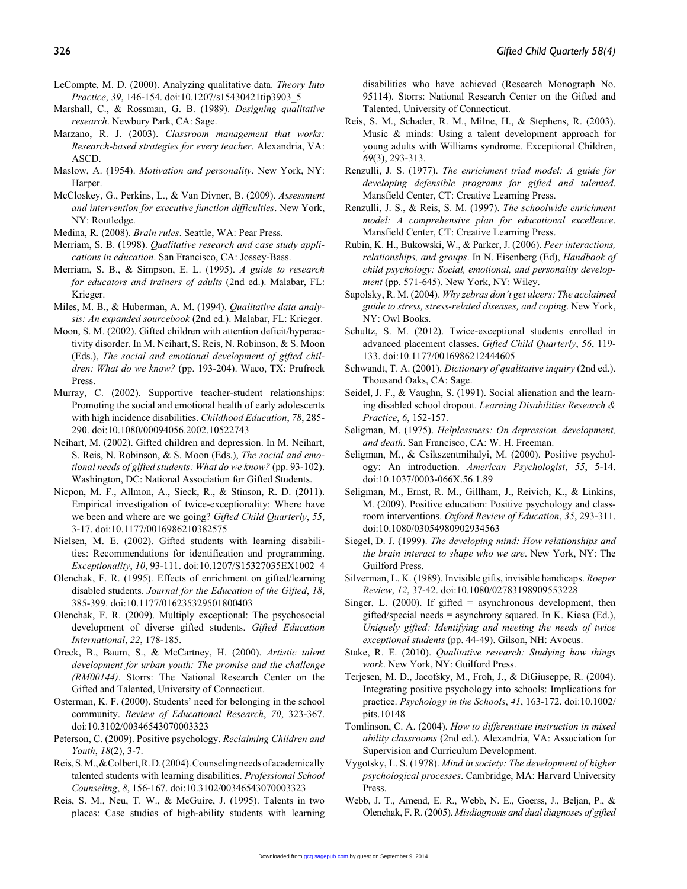- LeCompte, M. D. (2000). Analyzing qualitative data. *Theory Into Practice*, *39*, 146-154. doi:10.1207/s15430421tip3903\_5
- Marshall, C., & Rossman, G. B. (1989). *Designing qualitative research*. Newbury Park, CA: Sage.
- Marzano, R. J. (2003). *Classroom management that works: Research-based strategies for every teacher*. Alexandria, VA: ASCD.
- Maslow, A. (1954). *Motivation and personality*. New York, NY: Harper.
- McCloskey, G., Perkins, L., & Van Divner, B. (2009). *Assessment and intervention for executive function difficulties*. New York, NY: Routledge.
- Medina, R. (2008). *Brain rules*. Seattle, WA: Pear Press.
- Merriam, S. B. (1998). *Qualitative research and case study applications in education*. San Francisco, CA: Jossey-Bass.
- Merriam, S. B., & Simpson, E. L. (1995). *A guide to research for educators and trainers of adults* (2nd ed.). Malabar, FL: Krieger.
- Miles, M. B., & Huberman, A. M. (1994). *Qualitative data analysis: An expanded sourcebook* (2nd ed.). Malabar, FL: Krieger.
- Moon, S. M. (2002). Gifted children with attention deficit/hyperactivity disorder. In M. Neihart, S. Reis, N. Robinson, & S. Moon (Eds.), *The social and emotional development of gifted children: What do we know?* (pp. 193-204). Waco, TX: Prufrock Press.
- Murray, C. (2002). Supportive teacher-student relationships: Promoting the social and emotional health of early adolescents with high incidence disabilities. *Childhood Education*, *78*, 285- 290. doi:10.1080/00094056.2002.10522743
- Neihart, M. (2002). Gifted children and depression. In M. Neihart, S. Reis, N. Robinson, & S. Moon (Eds.), *The social and emotional needs of gifted students: What do we know?* (pp. 93-102). Washington, DC: National Association for Gifted Students.
- Nicpon, M. F., Allmon, A., Sieck, R., & Stinson, R. D. (2011). Empirical investigation of twice-exceptionality: Where have we been and where are we going? *Gifted Child Quarterly*, *55*, 3-17. doi:10.1177/0016986210382575
- Nielsen, M. E. (2002). Gifted students with learning disabilities: Recommendations for identification and programming. *Exceptionality*, *10*, 93-111. doi:10.1207/S15327035EX1002\_4
- Olenchak, F. R. (1995). Effects of enrichment on gifted/learning disabled students. *Journal for the Education of the Gifted*, *18*, 385-399. doi:10.1177/016235329501800403
- Olenchak, F. R. (2009). Multiply exceptional: The psychosocial development of diverse gifted students. *Gifted Education International*, *22*, 178-185.
- Oreck, B., Baum, S., & McCartney, H. (2000). *Artistic talent development for urban youth: The promise and the challenge (RM00144)*. Storrs: The National Research Center on the Gifted and Talented, University of Connecticut.
- Osterman, K. F. (2000). Students' need for belonging in the school community. *Review of Educational Research*, *70*, 323-367. doi:10.3102/00346543070003323
- Peterson, C. (2009). Positive psychology. *Reclaiming Children and Youth*, *18*(2), 3-7.
- Reis, S. M., & Colbert, R. D. (2004). Counseling needs of academically talented students with learning disabilities. *Professional School Counseling*, *8*, 156-167. doi:10.3102/00346543070003323
- Reis, S. M., Neu, T. W., & McGuire, J. (1995). Talents in two places: Case studies of high-ability students with learning

disabilities who have achieved (Research Monograph No. 95114). Storrs: National Research Center on the Gifted and Talented, University of Connecticut.

- Reis, S. M., Schader, R. M., Milne, H., & Stephens, R. (2003). Music & minds: Using a talent development approach for young adults with Williams syndrome. Exceptional Children, *69*(3), 293-313.
- Renzulli, J. S. (1977). *The enrichment triad model: A guide for developing defensible programs for gifted and talented*. Mansfield Center, CT: Creative Learning Press.
- Renzulli, J. S., & Reis, S. M. (1997). *The schoolwide enrichment model: A comprehensive plan for educational excellence*. Mansfield Center, CT: Creative Learning Press.
- Rubin, K. H., Bukowski, W., & Parker, J. (2006). *Peer interactions, relationships, and groups*. In N. Eisenberg (Ed), *Handbook of child psychology: Social, emotional, and personality development* (pp. 571-645). New York, NY: Wiley.
- Sapolsky, R. M. (2004). *Why zebras don't get ulcers: The acclaimed guide to stress, stress-related diseases, and coping*. New York, NY: Owl Books.
- Schultz, S. M. (2012). Twice-exceptional students enrolled in advanced placement classes. *Gifted Child Quarterly*, *56*, 119- 133. doi:10.1177/0016986212444605
- Schwandt, T. A. (2001). *Dictionary of qualitative inquiry* (2nd ed.). Thousand Oaks, CA: Sage.
- Seidel, J. F., & Vaughn, S. (1991). Social alienation and the learning disabled school dropout. *Learning Disabilities Research & Practice*, *6*, 152-157.
- Seligman, M. (1975). *Helplessness: On depression, development, and death*. San Francisco, CA: W. H. Freeman.
- Seligman, M., & Csikszentmihalyi, M. (2000). Positive psychology: An introduction. *American Psychologist*, *55*, 5-14. doi:10.1037/0003-066X.56.1.89
- Seligman, M., Ernst, R. M., Gillham, J., Reivich, K., & Linkins, M. (2009). Positive education: Positive psychology and classroom interventions. *Oxford Review of Education*, *35*, 293-311. doi:10.1080/03054980902934563
- Siegel, D. J. (1999). *The developing mind: How relationships and the brain interact to shape who we are*. New York, NY: The Guilford Press.
- Silverman, L. K. (1989). Invisible gifts, invisible handicaps. *Roeper Review*, *12*, 37-42. doi:10.1080/02783198909553228
- Singer, L.  $(2000)$ . If gifted = asynchronous development, then gifted/special needs = asynchrony squared. In K. Kiesa (Ed.), *Uniquely gifted: Identifying and meeting the needs of twice exceptional students* (pp. 44-49). Gilson, NH: Avocus.
- Stake, R. E. (2010). *Qualitative research: Studying how things work*. New York, NY: Guilford Press.
- Terjesen, M. D., Jacofsky, M., Froh, J., & DiGiuseppe, R. (2004). Integrating positive psychology into schools: Implications for practice. *Psychology in the Schools*, *41*, 163-172. doi:10.1002/ pits.10148
- Tomlinson, C. A. (2004). *How to differentiate instruction in mixed ability classrooms* (2nd ed.). Alexandria, VA: Association for Supervision and Curriculum Development.
- Vygotsky, L. S. (1978). *Mind in society: The development of higher psychological processes*. Cambridge, MA: Harvard University Press.
- Webb, J. T., Amend, E. R., Webb, N. E., Goerss, J., Beljan, P., & Olenchak, F. R. (2005). *Misdiagnosis and dual diagnoses of gifted*